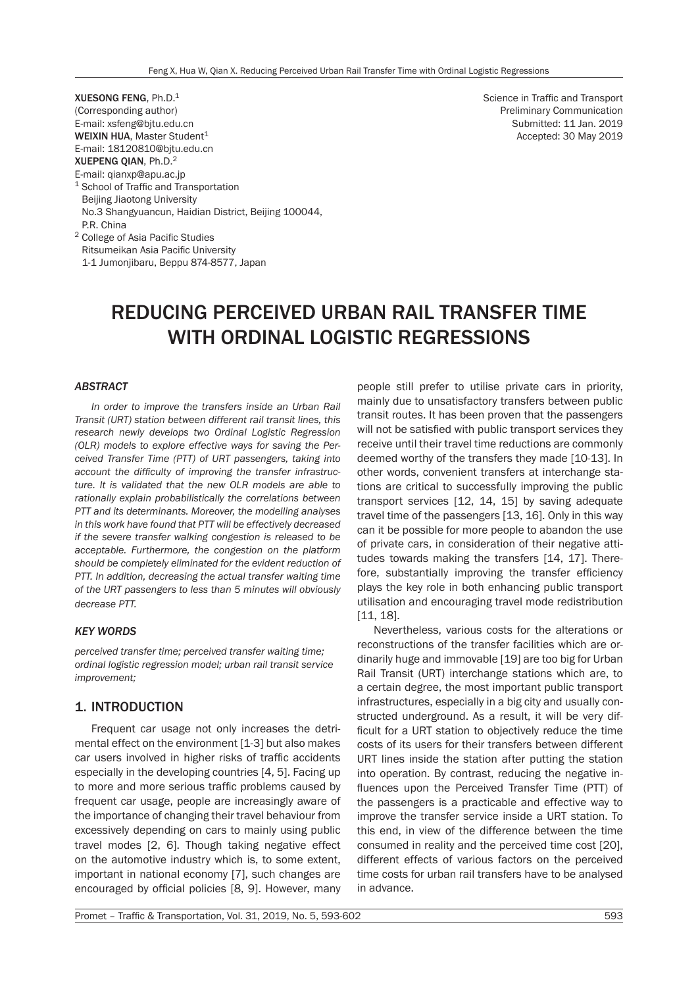XUESONG FENG, Ph.D.1 (Corresponding author) E-mail: xsfeng@bjtu.edu.cn WEIXIN HUA, Master Student<sup>1</sup> E-mail: 18120810@bjtu.edu.cn XUEPENG QIAN, Ph.D.2 E-mail: qianxp@apu.ac.jp <sup>1</sup> School of Traffic and Transportation Beijing Jiaotong University No.3 Shangyuancun, Haidian District, Beijing 100044, P.R. China <sup>2</sup> College of Asia Pacific Studies Ritsumeikan Asia Pacific University

1-1 Jumonjibaru, Beppu 874-8577, Japan

Science in Traffic and Transport Preliminary Communication Submitted: 11 Jan. 2019 Accepted: 30 May 2019

# REDUCING PERCEIVED URBAN RAIL TRANSFER TIME WITH ORDINAL LOGISTIC REGRESSIONS

#### *ABSTRACT*

*In order to improve the transfers inside an Urban Rail Transit (URT) station between different rail transit lines, this research newly develops two Ordinal Logistic Regression (OLR) models to explore effective ways for saving the Perceived Transfer Time (PTT) of URT passengers, taking into account the difficulty of improving the transfer infrastructure. It is validated that the new OLR models are able to rationally explain probabilistically the correlations between PTT and its determinants. Moreover, the modelling analyses in this work have found that PTT will be effectively decreased if the severe transfer walking congestion is released to be acceptable. Furthermore, the congestion on the platform should be completely eliminated for the evident reduction of PTT. In addition, decreasing the actual transfer waiting time of the URT passengers to less than 5 minutes will obviously decrease PTT.* 

#### *KEY WORDS*

*perceived transfer time; perceived transfer waiting time; ordinal logistic regression model; urban rail transit service improvement;*

# 1. INTRODUCTION

Frequent car usage not only increases the detrimental effect on the environment [1-3] but also makes car users involved in higher risks of traffic accidents especially in the developing countries [4, 5]. Facing up to more and more serious traffic problems caused by frequent car usage, people are increasingly aware of the importance of changing their travel behaviour from excessively depending on cars to mainly using public travel modes [2, 6]. Though taking negative effect on the automotive industry which is, to some extent, important in national economy [7], such changes are encouraged by official policies [8, 9]. However, many

people still prefer to utilise private cars in priority, mainly due to unsatisfactory transfers between public transit routes. It has been proven that the passengers will not be satisfied with public transport services they receive until their travel time reductions are commonly deemed worthy of the transfers they made [10-13]. In other words, convenient transfers at interchange stations are critical to successfully improving the public transport services [12, 14, 15] by saving adequate travel time of the passengers [13, 16]. Only in this way can it be possible for more people to abandon the use of private cars, in consideration of their negative attitudes towards making the transfers [14, 17]. Therefore, substantially improving the transfer efficiency plays the key role in both enhancing public transport utilisation and encouraging travel mode redistribution [11, 18].

Nevertheless, various costs for the alterations or reconstructions of the transfer facilities which are ordinarily huge and immovable [19] are too big for Urban Rail Transit (URT) interchange stations which are, to a certain degree, the most important public transport infrastructures, especially in a big city and usually constructed underground. As a result, it will be very difficult for a URT station to objectively reduce the time costs of its users for their transfers between different URT lines inside the station after putting the station into operation. By contrast, reducing the negative influences upon the Perceived Transfer Time (PTT) of the passengers is a practicable and effective way to improve the transfer service inside a URT station. To this end, in view of the difference between the time consumed in reality and the perceived time cost [20], different effects of various factors on the perceived time costs for urban rail transfers have to be analysed in advance.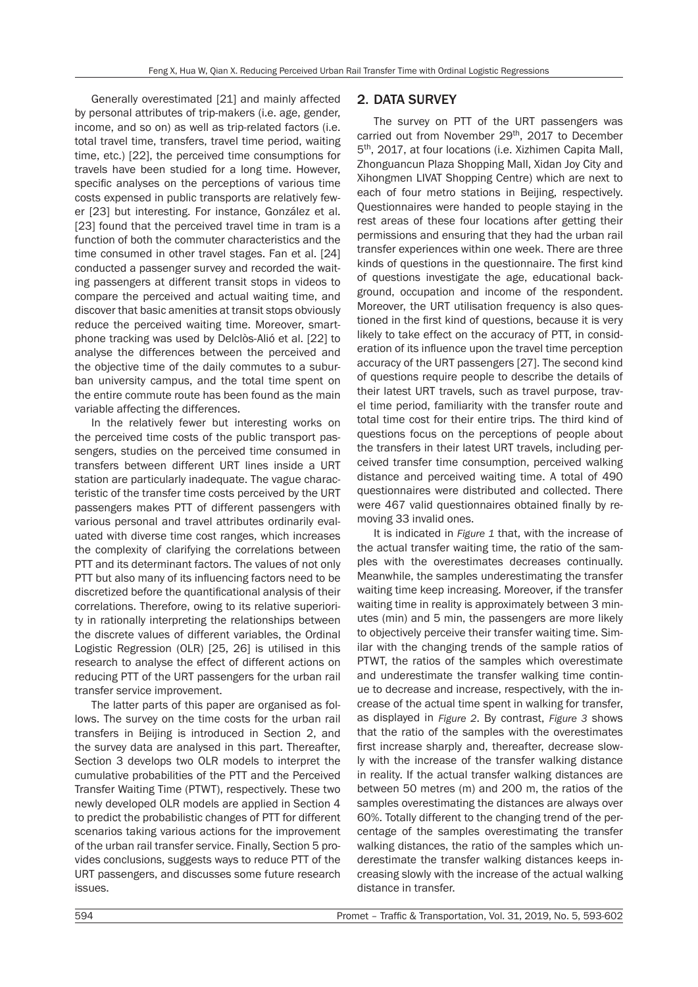Generally overestimated [21] and mainly affected by personal attributes of trip-makers (i.e. age, gender, income, and so on) as well as trip-related factors (i.e. total travel time, transfers, travel time period, waiting time, etc.) [22], the perceived time consumptions for travels have been studied for a long time. However, specific analyses on the perceptions of various time costs expensed in public transports are relatively fewer [23] but interesting. For instance, González et al. [23] found that the perceived travel time in tram is a function of both the commuter characteristics and the time consumed in other travel stages. Fan et al. [24] conducted a passenger survey and recorded the waiting passengers at different transit stops in videos to compare the perceived and actual waiting time, and discover that basic amenities at transit stops obviously reduce the perceived waiting time. Moreover, smartphone tracking was used by Delclòs-Alió et al. [22] to analyse the differences between the perceived and the objective time of the daily commutes to a suburban university campus, and the total time spent on the entire commute route has been found as the main variable affecting the differences.

In the relatively fewer but interesting works on the perceived time costs of the public transport passengers, studies on the perceived time consumed in transfers between different URT lines inside a URT station are particularly inadequate. The vague characteristic of the transfer time costs perceived by the URT passengers makes PTT of different passengers with various personal and travel attributes ordinarily evaluated with diverse time cost ranges, which increases the complexity of clarifying the correlations between PTT and its determinant factors. The values of not only PTT but also many of its influencing factors need to be discretized before the quantificational analysis of their correlations. Therefore, owing to its relative superiority in rationally interpreting the relationships between the discrete values of different variables, the Ordinal Logistic Regression (OLR) [25, 26] is utilised in this research to analyse the effect of different actions on reducing PTT of the URT passengers for the urban rail transfer service improvement.

The latter parts of this paper are organised as follows. The survey on the time costs for the urban rail transfers in Beijing is introduced in Section 2, and the survey data are analysed in this part. Thereafter, Section 3 develops two OLR models to interpret the cumulative probabilities of the PTT and the Perceived Transfer Waiting Time (PTWT), respectively. These two newly developed OLR models are applied in Section 4 to predict the probabilistic changes of PTT for different scenarios taking various actions for the improvement of the urban rail transfer service. Finally, Section 5 provides conclusions, suggests ways to reduce PTT of the URT passengers, and discusses some future research issues.

# 2. DATA SURVEY

The survey on PTT of the URT passengers was carried out from November 29<sup>th</sup>, 2017 to December 5th, 2017, at four locations (i.e. Xizhimen Capita Mall, Zhonguancun Plaza Shopping Mall, Xidan Joy City and Xihongmen LIVAT Shopping Centre) which are next to each of four metro stations in Beijing, respectively. Questionnaires were handed to people staying in the rest areas of these four locations after getting their permissions and ensuring that they had the urban rail transfer experiences within one week. There are three kinds of questions in the questionnaire. The first kind of questions investigate the age, educational background, occupation and income of the respondent. Moreover, the URT utilisation frequency is also questioned in the first kind of questions, because it is very likely to take effect on the accuracy of PTT, in consideration of its influence upon the travel time perception accuracy of the URT passengers [27]. The second kind of questions require people to describe the details of their latest URT travels, such as travel purpose, travel time period, familiarity with the transfer route and total time cost for their entire trips. The third kind of questions focus on the perceptions of people about the transfers in their latest URT travels, including perceived transfer time consumption, perceived walking distance and perceived waiting time. A total of 490 questionnaires were distributed and collected. There were 467 valid questionnaires obtained finally by removing 33 invalid ones.

It is indicated in *Figure 1* that, with the increase of the actual transfer waiting time, the ratio of the samples with the overestimates decreases continually. Meanwhile, the samples underestimating the transfer waiting time keep increasing. Moreover, if the transfer waiting time in reality is approximately between 3 minutes (min) and 5 min, the passengers are more likely to objectively perceive their transfer waiting time. Similar with the changing trends of the sample ratios of PTWT, the ratios of the samples which overestimate and underestimate the transfer walking time continue to decrease and increase, respectively, with the increase of the actual time spent in walking for transfer, as displayed in *Figure 2*. By contrast, *Figure 3* shows that the ratio of the samples with the overestimates first increase sharply and, thereafter, decrease slowly with the increase of the transfer walking distance in reality. If the actual transfer walking distances are between 50 metres (m) and 200 m, the ratios of the samples overestimating the distances are always over 60%. Totally different to the changing trend of the percentage of the samples overestimating the transfer walking distances, the ratio of the samples which underestimate the transfer walking distances keeps increasing slowly with the increase of the actual walking distance in transfer.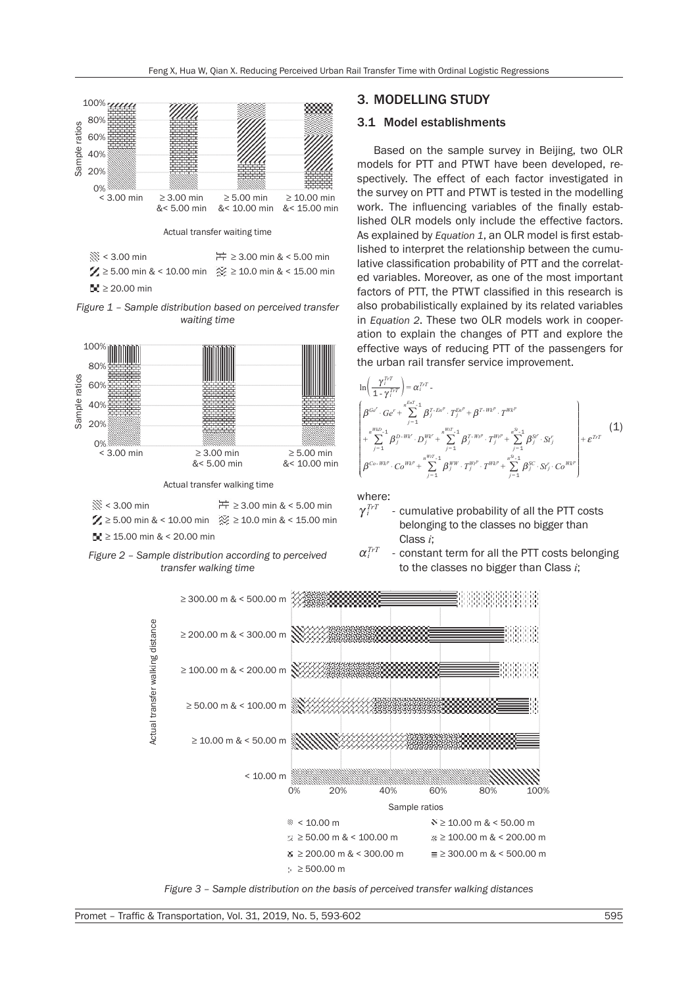



≥ 3.00 min & < 5.00 min ≥ 5.00 min & < 10.00 min ≥ 10.0 min & < 15.00 min < 3.00 min ≥ 15.00 min & < 20.00 min



# 3. MODELLING STUDY

## 3.1 Model establishments

Based on the sample survey in Beijing, two OLR models for PTT and PTWT have been developed, respectively. The effect of each factor investigated in the survey on PTT and PTWT is tested in the modelling work. The influencing variables of the finally established OLR models only include the effective factors. As explained by *Equation 1*, an OLR model is first established to interpret the relationship between the cumulative classification probability of PTT and the correlated variables. Moreover, as one of the most important factors of PTT, the PTWT classified in this research is also probabilistically explained by its related variables in *Equation 2*. These two OLR models work in cooperation to explain the changes of PTT and explore the effective ways of reducing PTT of the passengers for the urban rail transfer service improvement.



where:

 $\alpha_i^{TrT}$ 

 $\gamma_i^{TrT}$ - cumulative probability of all the PTT costs belonging to the classes no bigger than Class *i*;

constant term for all the PTT costs belonging



*Figure 3 – Sample distribution on the basis of perceived transfer walking distances*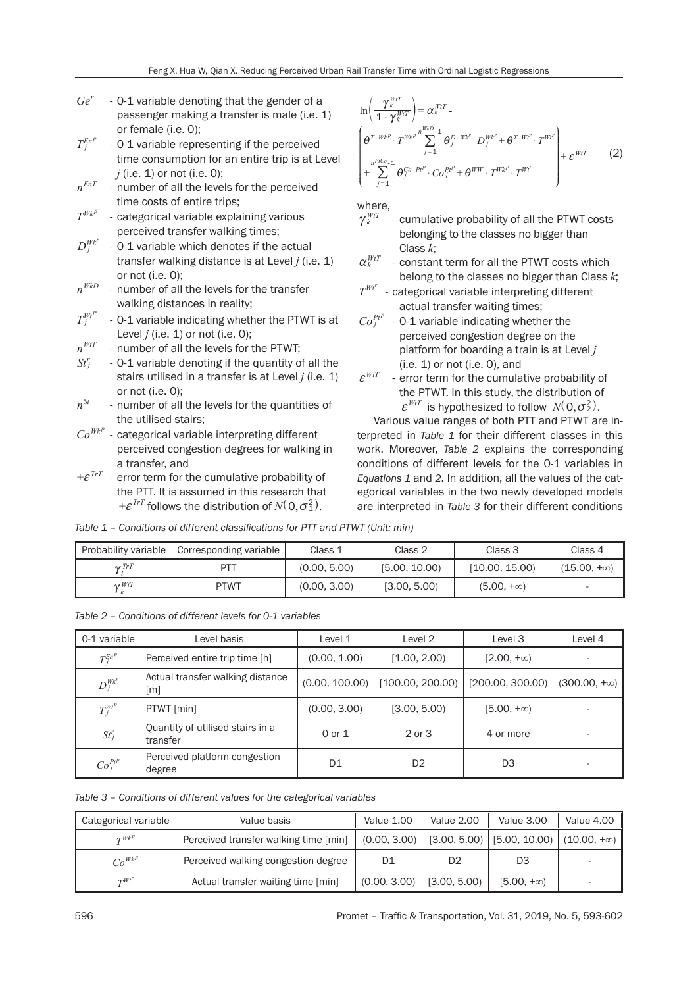- *Ge<sup>r</sup>* 0-1 variable denoting that the gender of a passenger making a transfer is male (i.e. 1) or female (i.e. 0);
- $T_j^{En^p}$ - 0-1 variable representing if the perceived time consumption for an entire trip is at Level
- $j$  (i.e. 1) or not (i.e. 0);<br> $n^{EnT}$  number of all the love - number of all the levels for the perceived time costs of entire trips;
- $T^{Wk^p}$ - categorical variable explaining various perceived transfer walking times;
- $D_j^{Wk^r}$ - 0-1 variable which denotes if the actual transfer walking distance is at Level *j* (i.e. 1) or not (i.e. 0);
- *nWkD* number of all the levels for the transfer walking distances in reality;
- $T_j^{WtP}$ - 0-1 variable indicating whether the PTWT is at Level *j* (i.e. 1) or not (i.e. 0);
- $n^{WtT}$  number of all the levels for the PTWT;
- $St<sup>r</sup>$ *<sup>r</sup>* - 0-1 variable denoting if the quantity of all the stairs utilised in a transfer is at Level *j* (i.e. 1) or not (i.e. 0);
- $n^{St}$  number of all the levels for the quantities of the utilised stairs;
- $\mathit{Co}^{\mathit{Wk}^p}$  categorical variable interpreting different perceived congestion degrees for walking in a transfer, and
- $E^{TrT}$  error term for the cumulative probability of the PTT. It is assumed in this research that  $+ \boldsymbol{\varepsilon}^{TrT}$  follows the distribution of  $N($  0,  $\sigma_1^2)$  .

$$
\ln\left(\frac{\gamma_{k}^{WtT}}{1-\gamma_{k}^{WtT}}\right) = \alpha_{k}^{WtT} - \left(\theta_{j}^{T-Wk^{p}} \cdot T^{Wk^{p}} \sum_{j=1}^{Wk^{p}} \theta_{j}^{D-Wk^{r}} \cdot D_{j}^{Wk^{r}} + \theta^{T-Wt^{r}} \cdot T^{Wt^{r}}\right) + \sum_{j=1}^{n^{PtC_{o}}-1} \theta_{j}^{C_{o}-Pt^{p}} \cdot Co_{j}^{Pt^{p}} + \theta^{WW} \cdot T^{Wk^{p}} \cdot T^{Wt^{r}} \qquad (2)
$$

where,

- $\gamma_k^{WtT}$ - cumulative probability of all the PTWT costs belonging to the classes no bigger than Class *k*;
- $\alpha_k^{\textit{WtT}}$ - constant term for all the PTWT costs which belong to the classes no bigger than Class *k*;
- $T^{Wt}$ <sup>*r*</sup> - categorical variable interpreting different actual transfer waiting times;
- $Co_f^{Pt^p}$  0-1 variable indicating whether the perceived congestion degree on the platform for boarding a train is at Level *j* (i.e. 1) or not (i.e. 0), and
- $\varepsilon^{WtT}$  error term for the cumulative probability of the PTWT. In this study, the distribution of  $\mathcal{E}^{WtT}$  is hypothesized to follow  $N(0, \sigma_2^2)$ .

Various value ranges of both PTT and PTWT are interpreted in *Table 1* for their different classes in this work. Moreover, *Table 2* explains the corresponding conditions of different levels for the 0-1 variables in *Equations 1* and *2*. In addition, all the values of the categorical variables in the two newly developed models are interpreted in *Table 3* for their different conditions

*Table 1 – Conditions of different classifications for PTT and PTWT (Unit: min)* 

| Probability variable | Corresponding variable | Class 1      | Class 2       | Class 3           | Class 4            |
|----------------------|------------------------|--------------|---------------|-------------------|--------------------|
| $\gamma$ TrT         | <b>PTT</b>             | (0.00, 5.00) | [5.00, 10.00] | [10.00, 15.00]    | $(15.00, +\infty)$ |
| $\gamma WtT$         | <b>PTWT</b>            | (0.00, 3.00) | [3.00, 5.00]  | $(5.00, +\infty)$ |                    |

| Table 2 – Conditions of different levels for 0-1 variables |  |
|------------------------------------------------------------|--|
|------------------------------------------------------------|--|

| 0-1 variable  | Level basis                                           | Level 1        | Level 2          | Level 3           | Level 4             |
|---------------|-------------------------------------------------------|----------------|------------------|-------------------|---------------------|
| $T_i^{En^p}$  | Perceived entire trip time [h]                        | (0.00, 1.00)   | [1.00, 2.00]     | $[2.00, +\infty)$ |                     |
| $D_j^{Wk'}$   | Actual transfer walking distance<br>$\lceil m \rceil$ | (0.00, 100.00) | [100.00, 200.00] | [200.00, 300.00]  | $(300.00, +\infty)$ |
| $T_i^{Wt^p}$  | PTWT [min]                                            | (0.00, 3.00)   | [3.00, 5.00]     | $[5.00, +\infty)$ |                     |
| $St_j^r$      | Quantity of utilised stairs in a<br>transfer          | 0 or 1         | 2 or 3           | 4 or more         |                     |
| $Co_i^{Pt^p}$ | Perceived platform congestion<br>degree               | D1             | D <sub>2</sub>   | D3                |                     |

|  |  |  | Table 3 – Conditions of different values for the categorical variables |  |  |
|--|--|--|------------------------------------------------------------------------|--|--|
|--|--|--|------------------------------------------------------------------------|--|--|

| Categorical variable | Value basis                           | <b>Value 1.00</b> | Value 2.00     | Value 3.00                   | Value 4.00         |
|----------------------|---------------------------------------|-------------------|----------------|------------------------------|--------------------|
| $T^{Wk^p}$           | Perceived transfer walking time [min] | (0.00, 3.00)      |                | $[3.00, 5.00]$ [5.00, 10.00) | $(10.00, +\infty)$ |
| $Co^{Wk^p}$          | Perceived walking congestion degree   | D1                | D <sub>2</sub> | D3                           |                    |
| $\tau Wt'$           | Actual transfer waiting time [min]    | (0.00, 3.00)      | [3.00, 5.00]   | $[5.00, +\infty)$            |                    |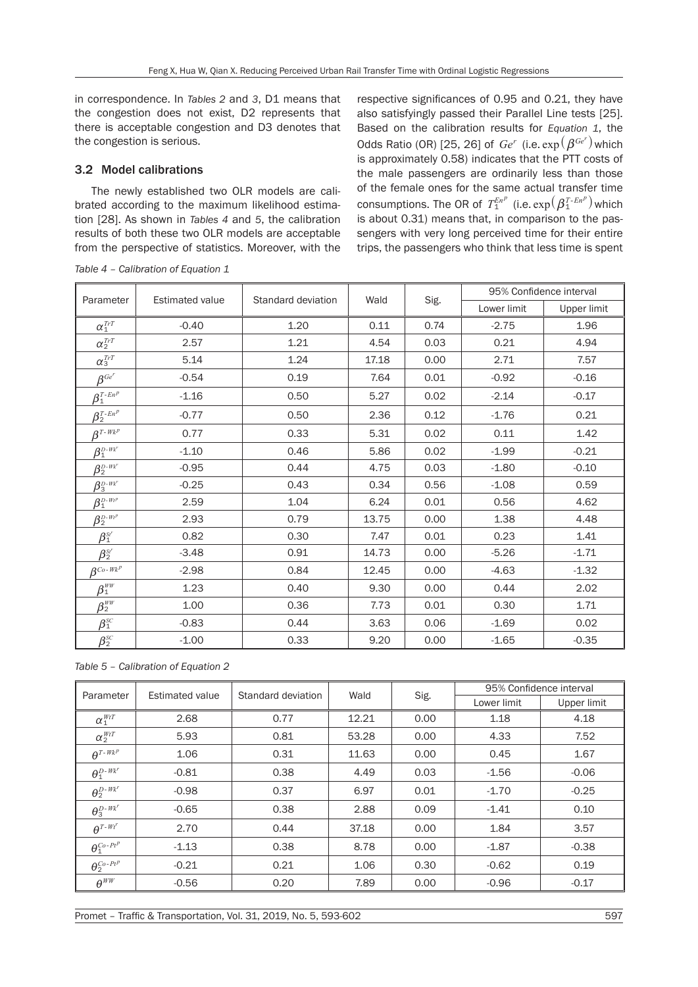in correspondence. In *Tables 2* and *3*, D1 means that the congestion does not exist, D2 represents that there is acceptable congestion and D3 denotes that the congestion is serious.

## 3.2 Model calibrations

The newly established two OLR models are calibrated according to the maximum likelihood estimation [28]. As shown in *Tables 4* and *5*, the calibration results of both these two OLR models are acceptable from the perspective of statistics. Moreover, with the

respective significances of 0.95 and 0.21, they have also satisfyingly passed their Parallel Line tests [25]. Based on the calibration results for *Equation 1*, the Odds Ratio (OR) [25, 26] of  $Ge^r$  (i.e.  $\exp(\beta^{Ge^r})$  which is approximately 0.58) indicates that the PTT costs of the male passengers are ordinarily less than those of the female ones for the same actual transfer time consumptions. The OR of  $T_1^{En^p}$  (i.e.  $\exp(\beta_1^{T-En^p})$  which is about 0.31) means that, in comparison to the passengers with very long perceived time for their entire trips, the passengers who think that less time is spent

| Parameter                                          | <b>Estimated value</b> | Standard deviation |       |              | 95% Confidence interval |             |  |
|----------------------------------------------------|------------------------|--------------------|-------|--------------|-------------------------|-------------|--|
|                                                    |                        |                    |       | Wald<br>Sig. | Lower limit             | Upper limit |  |
| $\alpha_1^{TrT}$                                   | $-0.40$                | 1.20               | 0.11  | 0.74         | $-2.75$                 | 1.96        |  |
| $\alpha_2^{\textit{Tr}T}$                          | 2.57                   | 1.21               | 4.54  | 0.03         | 0.21                    | 4.94        |  |
| $\alpha_3^\textit{TrT}$                            | 5.14                   | 1.24               | 17.18 | 0.00         | 2.71                    | 7.57        |  |
| $\beta^{Ge^r}$                                     | $-0.54$                | 0.19               | 7.64  | 0.01         | $-0.92$                 | $-0.16$     |  |
| $\beta_1^{T-En^p}$                                 | $-1.16$                | 0.50               | 5.27  | 0.02         | $-2.14$                 | $-0.17$     |  |
| $\beta_2^{T-En^p}$                                 | $-0.77$                | 0.50               | 2.36  | 0.12         | $-1.76$                 | 0.21        |  |
| $\beta^{T-Wk^p}$                                   | 0.77                   | 0.33               | 5.31  | 0.02         | 0.11                    | 1.42        |  |
| $\beta_1^{\scriptscriptstyle D\text{-}W\!k'}$      | $-1.10$                | 0.46               | 5.86  | 0.02         | $-1.99$                 | $-0.21$     |  |
| $\beta_2^{\scriptscriptstyle D\text{-}W\!k'}$      | $-0.95$                | 0.44               | 4.75  | 0.03         | $-1.80$                 | $-0.10$     |  |
| $\beta_3^{\scriptscriptstyle D\text{-}W\!k'}$      | $-0.25$                | 0.43               | 0.34  | 0.56         | $-1.08$                 | 0.59        |  |
| $\beta_1^{\scriptscriptstyle D\text{-}Wt^p}$       | 2.59                   | 1.04               | 6.24  | 0.01         | 0.56                    | 4.62        |  |
| $\beta_2^{\scriptscriptstyle D\text{-}Wt^p}$       | 2.93                   | 0.79               | 13.75 | 0.00         | 1.38                    | 4.48        |  |
| $\beta_{1}^{\scriptscriptstyle{St'} }$             | 0.82                   | 0.30               | 7.47  | 0.01         | 0.23                    | 1.41        |  |
| $\beta_2^{\scriptscriptstyle St'}$                 | $-3.48$                | 0.91               | 14.73 | 0.00         | $-5.26$                 | $-1.71$     |  |
| $\beta^{C_o-Wk^p}$                                 | $-2.98$                | 0.84               | 12.45 | 0.00         | $-4.63$                 | $-1.32$     |  |
| $\beta_{\text{{\tiny 1}}}^{\scriptscriptstyle WW}$ | 1.23                   | 0.40               | 9.30  | 0.00         | 0.44                    | 2.02        |  |
| $\beta_2^{WW}$                                     | 1.00                   | 0.36               | 7.73  | 0.01         | 0.30                    | 1.71        |  |
| $\beta_1^{\text{\tiny{SC}}}$                       | $-0.83$                | 0.44               | 3.63  | 0.06         | $-1.69$                 | 0.02        |  |
| $\beta_2^{_{SC}}$                                  | $-1.00$                | 0.33               | 9.20  | 0.00         | $-1.65$                 | $-0.35$     |  |

*Table 4 – Calibration of Equation 1* 

*Table 5 – Calibration of Equation 2* 

| Parameter                           |         | Standard deviation<br>Estimated value |       |      | 95% Confidence interval |             |  |
|-------------------------------------|---------|---------------------------------------|-------|------|-------------------------|-------------|--|
|                                     |         |                                       | Wald  | Sig. | Lower limit             | Upper limit |  |
| $\alpha_1^{WtT}$                    | 2.68    | 0.77                                  | 12.21 | 0.00 | 1.18                    | 4.18        |  |
| $\alpha_2^{WtT}$                    | 5.93    | 0.81                                  | 53.28 | 0.00 | 4.33                    | 7.52        |  |
| $\theta^{T-Wk^p}$                   | 1.06    | 0.31                                  | 11.63 | 0.00 | 0.45                    | 1.67        |  |
| $\theta_1^{D\text{-}\textit{Wk}^r}$ | $-0.81$ | 0.38                                  | 4.49  | 0.03 | $-1.56$                 | $-0.06$     |  |
| $\theta_2^{D-Wk^r}$                 | $-0.98$ | 0.37                                  | 6.97  | 0.01 | $-1.70$                 | $-0.25$     |  |
| $\theta_3^{D-Wk'}$                  | $-0.65$ | 0.38                                  | 2.88  | 0.09 | $-1.41$                 | 0.10        |  |
| $\theta^{T-Wt^r}$                   | 2.70    | 0.44                                  | 37.18 | 0.00 | 1.84                    | 3.57        |  |
| $\theta_1^{\mathit{Co-Pt}^p}$       | $-1.13$ | 0.38                                  | 8.78  | 0.00 | $-1.87$                 | $-0.38$     |  |
| $\theta_2^{Co-Pt^p}$                | $-0.21$ | 0.21                                  | 1.06  | 0.30 | $-0.62$                 | 0.19        |  |
| $\theta^{WW}$                       | $-0.56$ | 0.20                                  | 7.89  | 0.00 | $-0.96$                 | $-0.17$     |  |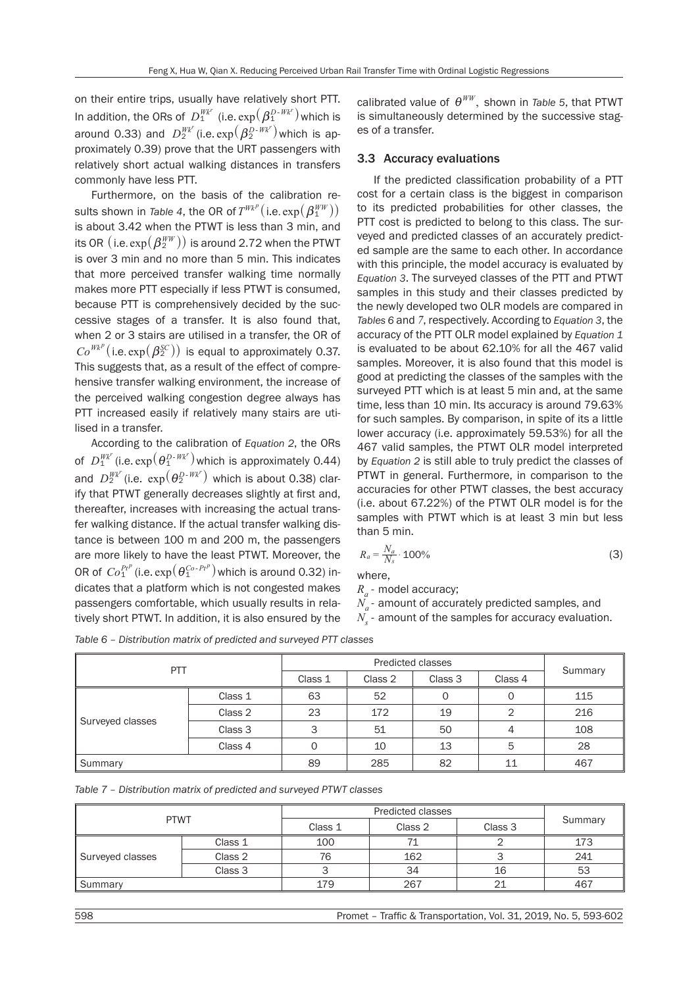on their entire trips, usually have relatively short PTT. In addition, the ORs of  $D_1^{Wk^r}$  (i.e.  $\exp(\beta_1^{D\text{-}Wk^r})$  which is around 0.33) and  $D_2^{Wk^r}$  (i.e.  $\exp(\beta_2^{D\text{-}Wk^r})$  which is approximately 0.39) prove that the URT passengers with relatively short actual walking distances in transfers commonly have less PTT.

Furthermore, on the basis of the calibration results shown in *Table 4*, the OR of  $T^{Wk^p}(\text{i.e. } \exp(\bm{\beta}_1^{WW}))$ is about 3.42 when the PTWT is less than 3 min, and its OR  $(i.e. exp(\beta_2^{WW}))$  is around 2.72 when the PTWT is over 3 min and no more than 5 min. This indicates that more perceived transfer walking time normally makes more PTT especially if less PTWT is consumed, because PTT is comprehensively decided by the successive stages of a transfer. It is also found that, when 2 or 3 stairs are utilised in a transfer, the OR of  $Co^{Wk^p}$ (i.e.  $exp(\beta_2^{SC})$ ) is equal to approximately 0.37. This suggests that, as a result of the effect of comprehensive transfer walking environment, the increase of the perceived walking congestion degree always has PTT increased easily if relatively many stairs are utilised in a transfer.

According to the calibration of *Equation 2*, the ORs of  $D_1^{Wk'}$  (i.e.  $\exp(\theta_1^{D\text{-}Wk'})$  which is approximately 0.44) and  $D_2^{Wk'}$  (i.e.  $\exp\left(\theta_2^{D\text{-}Wk'}\right)$  which is about 0.38) clarify that PTWT generally decreases slightly at first and, thereafter, increases with increasing the actual transfer walking distance. If the actual transfer walking distance is between 100 m and 200 m, the passengers are more likely to have the least PTWT. Moreover, the OR of  $\text{Co}_1^{Pt^p}$  (i.e.  $\exp\left(\theta_1^{Co\text{-}Pt^p}\right)$  which is around 0.32) indicates that a platform which is not congested makes passengers comfortable, which usually results in relatively short PTWT. In addition, it is also ensured by the

calibrated value of  $\theta^{WW}$ , shown in *Table 5*, that PTWT is simultaneously determined by the successive stages of a transfer.

### 3.3 Accuracy evaluations

If the predicted classification probability of a PTT cost for a certain class is the biggest in comparison to its predicted probabilities for other classes, the PTT cost is predicted to belong to this class. The surveyed and predicted classes of an accurately predicted sample are the same to each other. In accordance with this principle, the model accuracy is evaluated by *Equation 3*. The surveyed classes of the PTT and PTWT samples in this study and their classes predicted by the newly developed two OLR models are compared in *Tables 6* and *7*, respectively. According to *Equation 3*, the accuracy of the PTT OLR model explained by *Equation 1* is evaluated to be about 62.10% for all the 467 valid samples. Moreover, it is also found that this model is good at predicting the classes of the samples with the surveyed PTT which is at least 5 min and, at the same time, less than 10 min. Its accuracy is around 79.63% for such samples. By comparison, in spite of its a little lower accuracy (i.e. approximately 59.53%) for all the 467 valid samples, the PTWT OLR model interpreted by *Equation 2* is still able to truly predict the classes of PTWT in general. Furthermore, in comparison to the accuracies for other PTWT classes, the best accuracy (i.e. about 67.22%) of the PTWT OLR model is for the samples with PTWT which is at least 3 min but less than 5 min.

$$
R_a = \frac{N_a}{N_s} \cdot 100\%
$$
\n<sup>(3)</sup>

where,

*Ra* - model accuracy;

 $N_a$ - amount of accurately predicted samples, and

*N<sub>s</sub>* - amount of the samples for accuracy evaluation.

| PTT              |         |         |                               |    |    |         |
|------------------|---------|---------|-------------------------------|----|----|---------|
|                  |         | Class 1 | Class 4<br>Class 2<br>Class 3 |    |    | Summary |
| Surveyed classes | Class 1 | 63      | 52                            | 0  |    | 115     |
|                  | Class 2 | 23      | 172                           | 19 |    | 216     |
|                  | Class 3 | 3       | 51                            | 50 |    | 108     |
|                  | Class 4 | 0       | 10                            | 13 | 5  | 28      |
| Summary          |         | 89      | 285                           | 82 | 11 | 467     |

*Table 6 – Distribution matrix of predicted and surveyed PTT classes* 

| Table 7 – Distribution matrix of predicted and surveyed PTWT classes |  |
|----------------------------------------------------------------------|--|
|----------------------------------------------------------------------|--|

| <b>PTWT</b>      |         |         |                    |    |         |
|------------------|---------|---------|--------------------|----|---------|
|                  |         | Class 1 | Class 3<br>Class 2 |    | Summary |
| Surveyed classes | Class 1 | 100     |                    |    | 173     |
|                  | Class 2 | 76      |                    |    | 241     |
|                  | Class 3 |         | 34                 | 16 | 53      |
| Summary          |         | 179     | 267                |    | 467     |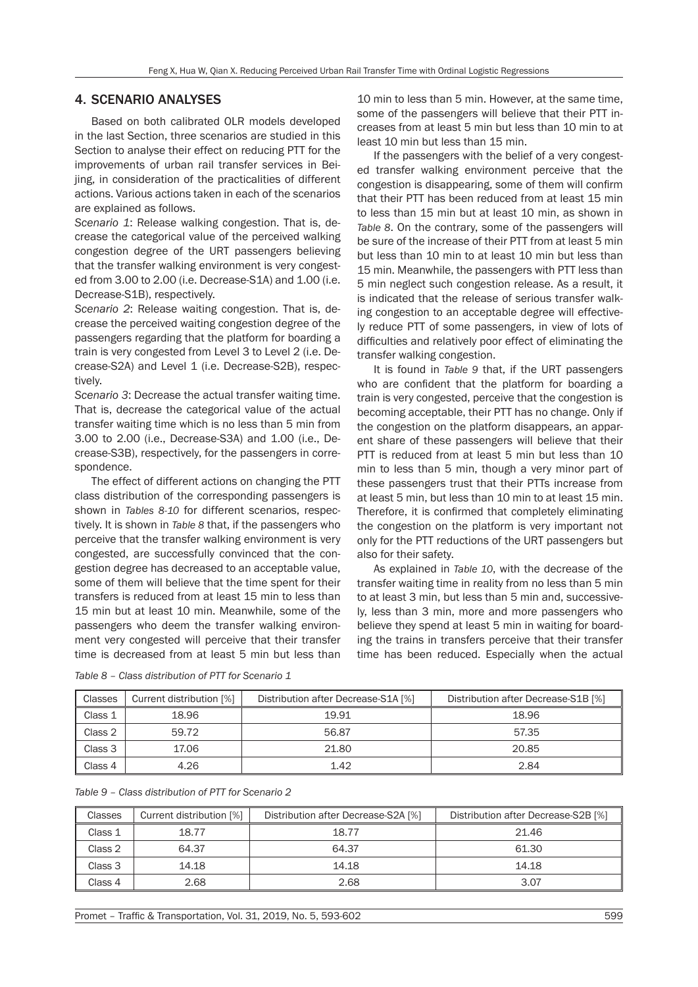# 4. SCENARIO ANALYSES

Based on both calibrated OLR models developed in the last Section, three scenarios are studied in this Section to analyse their effect on reducing PTT for the improvements of urban rail transfer services in Beijing, in consideration of the practicalities of different actions. Various actions taken in each of the scenarios are explained as follows.

*Scenario 1*: Release walking congestion. That is, decrease the categorical value of the perceived walking congestion degree of the URT passengers believing that the transfer walking environment is very congested from 3.00 to 2.00 (i.e. Decrease-S1A) and 1.00 (i.e. Decrease-S1B), respectively.

*Scenario 2*: Release waiting congestion. That is, decrease the perceived waiting congestion degree of the passengers regarding that the platform for boarding a train is very congested from Level 3 to Level 2 (i.e. Decrease-S2A) and Level 1 (i.e. Decrease-S2B), respectively.

*Scenario 3*: Decrease the actual transfer waiting time. That is, decrease the categorical value of the actual transfer waiting time which is no less than 5 min from 3.00 to 2.00 (i.e., Decrease-S3A) and 1.00 (i.e., Decrease-S3B), respectively, for the passengers in correspondence.

The effect of different actions on changing the PTT class distribution of the corresponding passengers is shown in *Tables 8-10* for different scenarios, respectively. It is shown in *Table 8* that, if the passengers who perceive that the transfer walking environment is very congested, are successfully convinced that the congestion degree has decreased to an acceptable value, some of them will believe that the time spent for their transfers is reduced from at least 15 min to less than 15 min but at least 10 min. Meanwhile, some of the passengers who deem the transfer walking environment very congested will perceive that their transfer time is decreased from at least 5 min but less than

10 min to less than 5 min. However, at the same time, some of the passengers will believe that their PTT increases from at least 5 min but less than 10 min to at least 10 min but less than 15 min.

If the passengers with the belief of a very congested transfer walking environment perceive that the congestion is disappearing, some of them will confirm that their PTT has been reduced from at least 15 min to less than 15 min but at least 10 min, as shown in *Table 8*. On the contrary, some of the passengers will be sure of the increase of their PTT from at least 5 min but less than 10 min to at least 10 min but less than 15 min. Meanwhile, the passengers with PTT less than 5 min neglect such congestion release. As a result, it is indicated that the release of serious transfer walking congestion to an acceptable degree will effectively reduce PTT of some passengers, in view of lots of difficulties and relatively poor effect of eliminating the transfer walking congestion.

It is found in *Table 9* that, if the URT passengers who are confident that the platform for boarding a train is very congested, perceive that the congestion is becoming acceptable, their PTT has no change. Only if the congestion on the platform disappears, an apparent share of these passengers will believe that their PTT is reduced from at least 5 min but less than 10 min to less than 5 min, though a very minor part of these passengers trust that their PTTs increase from at least 5 min, but less than 10 min to at least 15 min. Therefore, it is confirmed that completely eliminating the congestion on the platform is very important not only for the PTT reductions of the URT passengers but also for their safety.

As explained in *Table 10*, with the decrease of the transfer waiting time in reality from no less than 5 min to at least 3 min, but less than 5 min and, successively, less than 3 min, more and more passengers who believe they spend at least 5 min in waiting for boarding the trains in transfers perceive that their transfer time has been reduced. Especially when the actual

| Classes | Current distribution [%] | Distribution after Decrease-S1A [%] | Distribution after Decrease-S1B [%] |
|---------|--------------------------|-------------------------------------|-------------------------------------|
| Class 1 | 18.96                    | 19.91                               | 18.96                               |
| Class 2 | 59.72                    | 56.87                               | 57.35                               |
| Class 3 | 17.06                    | 21.80                               | 20.85                               |
| Class 4 | 4.26                     | 1.42                                | 2.84                                |

*Table 8 – Class distribution of PTT for Scenario 1* 

|  | Table 9 – Class distribution of PTT for Scenario 2 |  |  |  |
|--|----------------------------------------------------|--|--|--|
|  |                                                    |  |  |  |

| Classes | Current distribution [%] | Distribution after Decrease-S2A [%] | Distribution after Decrease-S2B [%] |
|---------|--------------------------|-------------------------------------|-------------------------------------|
| Class 1 | 18.77                    | 18.77                               | 21.46                               |
| Class 2 | 64.37                    | 64.37                               | 61.30                               |
| Class 3 | 14.18                    | 14.18                               | 14.18                               |
| Class 4 | 2.68                     | 2.68                                | 3.07                                |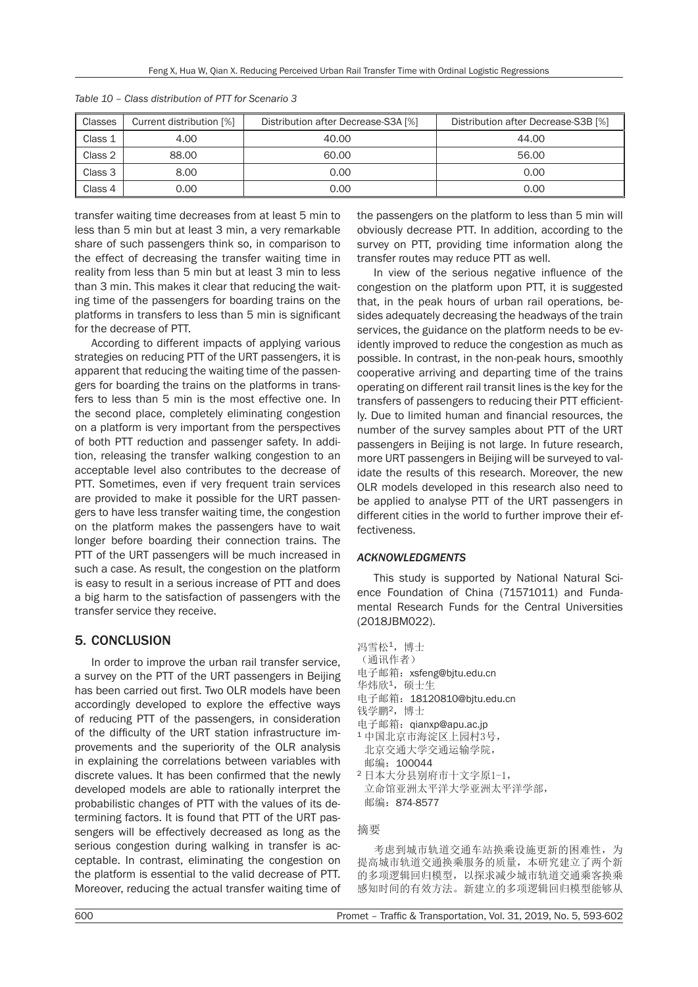| Classes | Current distribution [%] | Distribution after Decrease-S3A [%] | Distribution after Decrease-S3B [%] |
|---------|--------------------------|-------------------------------------|-------------------------------------|
| Class 1 | 4.00                     | 40.00                               | 44.00                               |
| Class 2 | 88.00                    | 60.00                               | 56.00                               |
| Class 3 | 8.00                     | 0.00                                | 0.00                                |
| Class 4 | 0.00                     | 0.00                                | 0.00                                |

*Table 10 – Class distribution of PTT for Scenario 3* 

transfer waiting time decreases from at least 5 min to less than 5 min but at least 3 min, a very remarkable share of such passengers think so, in comparison to the effect of decreasing the transfer waiting time in reality from less than 5 min but at least 3 min to less than 3 min. This makes it clear that reducing the waiting time of the passengers for boarding trains on the platforms in transfers to less than 5 min is significant for the decrease of PTT.

According to different impacts of applying various strategies on reducing PTT of the URT passengers, it is apparent that reducing the waiting time of the passengers for boarding the trains on the platforms in transfers to less than 5 min is the most effective one. In the second place, completely eliminating congestion on a platform is very important from the perspectives of both PTT reduction and passenger safety. In addition, releasing the transfer walking congestion to an acceptable level also contributes to the decrease of PTT. Sometimes, even if very frequent train services are provided to make it possible for the URT passengers to have less transfer waiting time, the congestion on the platform makes the passengers have to wait longer before boarding their connection trains. The PTT of the URT passengers will be much increased in such a case. As result, the congestion on the platform is easy to result in a serious increase of PTT and does a big harm to the satisfaction of passengers with the transfer service they receive.

# 5. CONCLUSION

In order to improve the urban rail transfer service, a survey on the PTT of the URT passengers in Beijing has been carried out first. Two OLR models have been accordingly developed to explore the effective ways of reducing PTT of the passengers, in consideration of the difficulty of the URT station infrastructure improvements and the superiority of the OLR analysis in explaining the correlations between variables with discrete values. It has been confirmed that the newly developed models are able to rationally interpret the probabilistic changes of PTT with the values of its determining factors. It is found that PTT of the URT passengers will be effectively decreased as long as the serious congestion during walking in transfer is acceptable. In contrast, eliminating the congestion on the platform is essential to the valid decrease of PTT. Moreover, reducing the actual transfer waiting time of the passengers on the platform to less than 5 min will obviously decrease PTT. In addition, according to the survey on PTT, providing time information along the transfer routes may reduce PTT as well.

In view of the serious negative influence of the congestion on the platform upon PTT, it is suggested that, in the peak hours of urban rail operations, besides adequately decreasing the headways of the train services, the guidance on the platform needs to be evidently improved to reduce the congestion as much as possible. In contrast, in the non-peak hours, smoothly cooperative arriving and departing time of the trains operating on different rail transit lines is the key for the transfers of passengers to reducing their PTT efficiently. Due to limited human and financial resources, the number of the survey samples about PTT of the URT passengers in Beijing is not large. In future research, more URT passengers in Beijing will be surveyed to validate the results of this research. Moreover, the new OLR models developed in this research also need to be applied to analyse PTT of the URT passengers in different cities in the world to further improve their effectiveness.

## *ACKNOWLEDGMENTS*

This study is supported by National Natural Science Foundation of China (71571011) and Fundamental Research Funds for the Central Universities (2018JBM022).

- 冯雪松1,博士
- (通讯作者)
- 电子邮箱:xsfeng@bjtu.edu.cn 华炜欣1,硕士生
- 电子邮箱:18120810@bjtu.edu.cn
- 钱学鹏2,博士
- 
- 电子邮箱: qianxp@apu.ac.jp<br>1 中国北京市海淀区上园村3号, 北京交通大学交通运输学院,
- 邮编:100044 2 日本大分县别府市十文字原1-1, 立命馆亚洲太平洋大学亚洲太平洋学部, 邮编:874-8577

### 摘要

考虑到城市轨道交通车站换乘设施更新的困难性,为 提高城市轨道交通换乘服务的质量,本研究建立了两个新 的多项逻辑回归模型,以探求减少城市轨道交通乘客换乘 感知时间的有效方法。新建立的多项逻辑回归模型能够从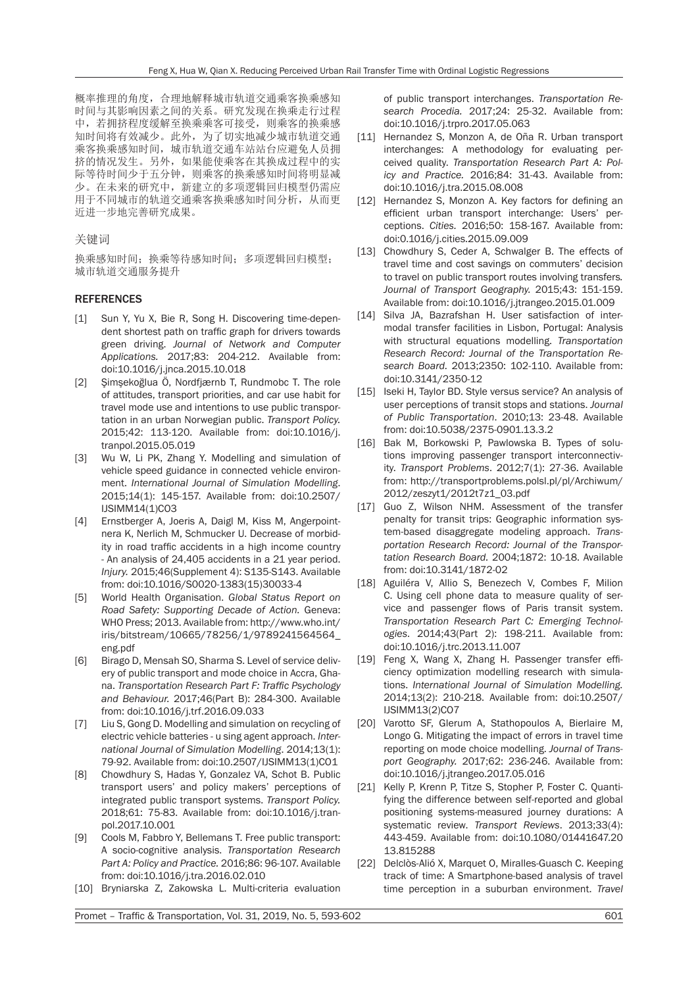概率推理的角度,合理地解释城市轨道交通乘客换乘感知 时间与其影响因素之间的关系。研究发现在换乘走行过程 中,若拥挤程度缓解至换乘乘客可接受,则乘客的换乘感 知时间将有效减少。此外,为了切实地减少城市轨道交通 乘客换乘感知时间,城市轨道交通车站站台应避免人员拥 挤的情况发生。另外,如果能使乘客在其换成过程中的实 际等待时间少于五分钟,则乘客的换乘感知时间将明显减 少。在未来的研究中,新建立的多项逻辑回归模型仍需应 用于不同城市的轨道交通乘客换乘感知时间分析,从而更 近进一步地完善研究成果。

#### 关键词

换乘感知时间;换乘等待感知时间;多项逻辑回归模型; 城市轨道交通服务提升

#### REFERENCES

- [1] Sun Y, Yu X, Bie R, Song H. Discovering time-dependent shortest path on traffic graph for drivers towards green driving. *Journal of Network and Computer Applications.* 2017;83: 204-212. Available from: doi:10.1016/j.jnca.2015.10.018
- [2] Şimşekoğlua Ö, Nordfjærnb T, Rundmobc T. The role of attitudes, transport priorities, and car use habit for travel mode use and intentions to use public transportation in an urban Norwegian public. *Transport Policy.* 2015;42: 113-120. Available from: doi:10.1016/j. tranpol.2015.05.019
- [3] Wu W, Li PK, Zhang Y. Modelling and simulation of vehicle speed guidance in connected vehicle environment. *International Journal of Simulation Modelling*. 2015;14(1): 145-157. Available from: doi:10.2507/ IJSIMM14(1)CO3
- [4] Ernstberger A, Joeris A, Daigl M, Kiss M, Angerpointnera K, Nerlich M, Schmucker U. Decrease of morbidity in road traffic accidents in a high income country - An analysis of 24,405 accidents in a 21 year period. *Injury.* 2015;46(Supplement 4): S135-S143. Available from: doi:10.1016/S0020-1383(15)30033-4
- [5] World Health Organisation. *Global Status Report on Road Safety: Supporting Decade of Action.* Geneva: WHO Press; 2013. Available from: http://www.who.int/ iris/bitstream/10665/78256/1/9789241564564\_ eng.pdf
- [6] Birago D, Mensah SO, Sharma S. Level of service delivery of public transport and mode choice in Accra, Ghana. *Transportation Research Part F: Traffic Psychology and Behaviour.* 2017;46(Part B): 284-300. Available from: doi:10.1016/j.trf.2016.09.033
- [7] Liu S, Gong D. Modelling and simulation on recycling of electric vehicle batteries - u sing agent approach. *International Journal of Simulation Modelling*. 2014;13(1): 79-92. Available from: doi:10.2507/IJSIMM13(1)CO1
- [8] Chowdhury S, Hadas Y, Gonzalez VA, Schot B. Public transport users' and policy makers' perceptions of integrated public transport systems. *Transport Policy.* 2018;61: 75-83. Available from: doi:10.1016/j.tranpol.2017.10.001
- [9] Cools M, Fabbro Y, Bellemans T. Free public transport: A socio-cognitive analysis. *Transportation Research Part A: Policy and Practice.* 2016;86: 96-107. Available from: doi:10.1016/j.tra.2016.02.010
- [10] Bryniarska Z, Zakowska L. Multi-criteria evaluation

of public transport interchanges. *Transportation Research Procedia.* 2017;24: 25-32. Available from: doi:10.1016/j.trpro.2017.05.063

- [11] Hernandez S, Monzon A, de Oña R. Urban transport interchanges: A methodology for evaluating perceived quality. *Transportation Research Part A: Policy and Practice.* 2016;84: 31-43. Available from: doi:10.1016/j.tra.2015.08.008
- [12] Hernandez S, Monzon A. Key factors for defining an efficient urban transport interchange: Users' perceptions. *Cities.* 2016;50: 158-167. Available from: doi:0.1016/j.cities.2015.09.009
- [13] Chowdhury S, Ceder A, Schwalger B. The effects of travel time and cost savings on commuters' decision to travel on public transport routes involving transfers*. Journal of Transport Geography.* 2015;43: 151-159. Available from: doi:10.1016/j.jtrangeo.2015.01.009
- [14] Silva JA, Bazrafshan H. User satisfaction of intermodal transfer facilities in Lisbon, Portugal: Analysis with structural equations modelling. *Transportation Research Record: Journal of the Transportation Research Board.* 2013;2350: 102-110. Available from: doi:10.3141/2350-12
- [15] Iseki H, Taylor BD. Style versus service? An analysis of user perceptions of transit stops and stations. *Journal of Public Transportation*. 2010;13: 23-48. Available from: doi:10.5038/2375-0901.13.3.2
- [16] Bak M, Borkowski P, Pawlowska B. Types of solutions improving passenger transport interconnectivity. *Transport Problems*. 2012;7(1): 27-36. Available from: http://transportproblems.polsl.pl/pl/Archiwum/ 2012/zeszyt1/2012t7z1\_03.pdf
- [17] Guo Z, Wilson NHM. Assessment of the transfer penalty for transit trips: Geographic information system-based disaggregate modeling approach. *Transportation Research Record: Journal of the Transportation Research Board.* 2004;1872: 10-18. Available from: doi:10.3141/1872-02
- [18] Aguiléra V, Allio S, Benezech V, Combes F, Milion C. Using cell phone data to measure quality of service and passenger flows of Paris transit system. *Transportation Research Part C: Emerging Technologies*. 2014;43(Part 2): 198-211. Available from: doi:10.1016/j.trc.2013.11.007
- [19] Feng X, Wang X, Zhang H. Passenger transfer efficiency optimization modelling research with simulations. *International Journal of Simulation Modelling.* 2014;13(2): 210-218. Available from: doi:10.2507/ IJSIMM13(2)CO7
- [20] Varotto SF, Glerum A, Stathopoulos A, Bierlaire M, Longo G. Mitigating the impact of errors in travel time reporting on mode choice modelling. *Journal of Transport Geography.* 2017;62: 236-246. Available from: doi:10.1016/j.jtrangeo.2017.05.016
- [21] Kelly P, Krenn P, Titze S, Stopher P, Foster C. Quantifying the difference between self-reported and global positioning systems-measured journey durations: A systematic review. *Transport Reviews*. 2013;33(4): 443-459. Available from: doi:10.1080/01441647.20 13.815288
- [22] Delclòs-Alió X, Marquet O, Miralles-Guasch C. Keeping track of time: A Smartphone-based analysis of travel time perception in a suburban environment. *Travel*